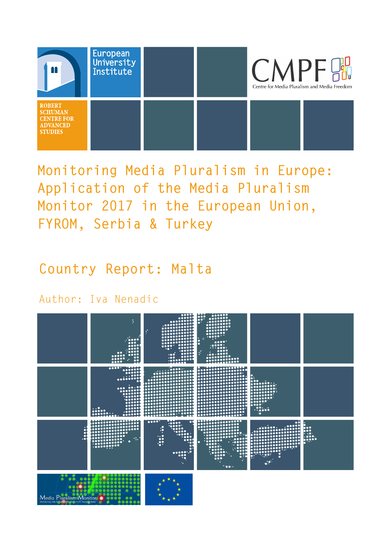

**Monitoring Media Pluralism in Europe: Application of the Media Pluralism Monitor 2017 in the European Union, FYROM, Serbia & Turkey**

**Country Report: Malta**

Author: Iva Nenadic

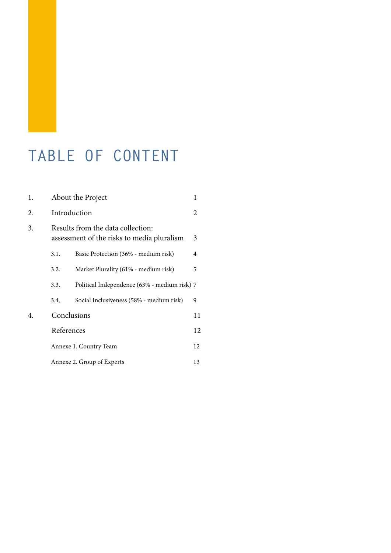## **TABLE OF CONTENT**

| 1. | About the Project<br>1                                                          |                                              |    |
|----|---------------------------------------------------------------------------------|----------------------------------------------|----|
| 2. | Introduction                                                                    |                                              |    |
| 3. | Results from the data collection:<br>assessment of the risks to media pluralism |                                              |    |
|    | 3.1.                                                                            | Basic Protection (36% - medium risk)         | 4  |
|    | 3.2.                                                                            | Market Plurality (61% - medium risk)         | 5  |
|    | 3.3.                                                                            | Political Independence (63% - medium risk) 7 |    |
|    | 3.4.                                                                            | Social Inclusiveness (58% - medium risk)     | 9  |
| 4. | Conclusions                                                                     |                                              | 11 |
|    | References                                                                      |                                              | 12 |
|    |                                                                                 | Annexe 1. Country Team                       | 12 |
|    |                                                                                 | Annexe 2. Group of Experts                   | 13 |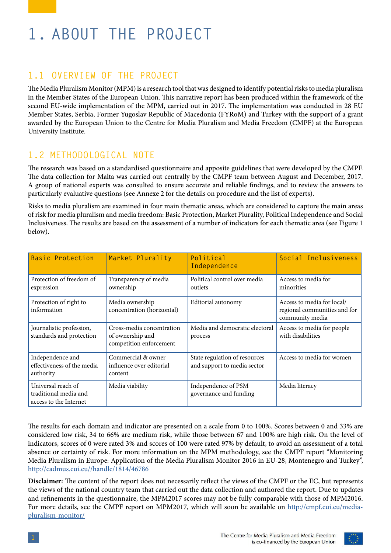# **1. ABOUT THE PROJECT**

#### **1.1 OVERVIEW OF THE PROJECT**

The Media Pluralism Monitor (MPM) is a research tool that was designed to identify potential risks to media pluralism in the Member States of the European Union. This narrative report has been produced within the framework of the second EU-wide implementation of the MPM, carried out in 2017. The implementation was conducted in 28 EU Member States, Serbia, Former Yugoslav Republic of Macedonia (FYRoM) and Turkey with the support of a grant awarded by the European Union to the Centre for Media Pluralism and Media Freedom (CMPF) at the European University Institute.

#### **1.2 METHODOLOGICAL NOTE**

The research was based on a standardised questionnaire and apposite guidelines that were developed by the CMPF. The data collection for Malta was carried out centrally by the CMPF team between August and December, 2017. A group of national experts was consulted to ensure accurate and reliable findings, and to review the answers to particularly evaluative questions (see Annexe 2 for the details on procedure and the list of experts).

Risks to media pluralism are examined in four main thematic areas, which are considered to capture the main areas of risk for media pluralism and media freedom: Basic Protection, Market Plurality, Political Independence and Social Inclusiveness. The results are based on the assessment of a number of indicators for each thematic area (see Figure 1 below).

| <b>Basic Protection</b>                                               | Market Plurality                                                         | Political<br>Independence                                    | Social Inclusiveness                                                          |
|-----------------------------------------------------------------------|--------------------------------------------------------------------------|--------------------------------------------------------------|-------------------------------------------------------------------------------|
| Protection of freedom of<br>expression                                | Transparency of media<br>ownership                                       | Political control over media<br>outlets                      | Access to media for<br>minorities                                             |
| Protection of right to<br>information                                 | Media ownership<br>concentration (horizontal)                            | Editorial autonomy                                           | Access to media for local/<br>regional communities and for<br>community media |
| Journalistic profession,<br>standards and protection                  | Cross-media concentration<br>of ownership and<br>competition enforcement | Media and democratic electoral<br>process                    | Access to media for people<br>with disabilities                               |
| Independence and<br>effectiveness of the media<br>authority           | Commercial & owner<br>influence over editorial<br>content                | State regulation of resources<br>and support to media sector | Access to media for women                                                     |
| Universal reach of<br>traditional media and<br>access to the Internet | Media viability                                                          | Independence of PSM<br>governance and funding                | Media literacy                                                                |

The results for each domain and indicator are presented on a scale from 0 to 100%. Scores between 0 and 33% are considered low risk, 34 to 66% are medium risk, while those between 67 and 100% are high risk. On the level of indicators, scores of 0 were rated 3% and scores of 100 were rated 97% by default, to avoid an assessment of a total absence or certainty of risk. For more information on the MPM methodology, see the CMPF report "Monitoring Media Pluralism in Europe: Application of the Media Pluralism Monitor 2016 in EU-28, Montenegro and Turkey", <http://cadmus.eui.eu//handle/1814/46786>

**Disclaimer:** The content of the report does not necessarily reflect the views of the CMPF or the EC, but represents the views of the national country team that carried out the data collection and authored the report. Due to updates and refinements in the questionnaire, the MPM2017 scores may not be fully comparable with those of MPM2016. For more details, see the CMPF report on MPM2017, which will soon be available on [http://cmpf.eui.eu/media](http://cmpf.eui.eu/media-pluralism-monitor/)[pluralism-monitor/](http://cmpf.eui.eu/media-pluralism-monitor/)

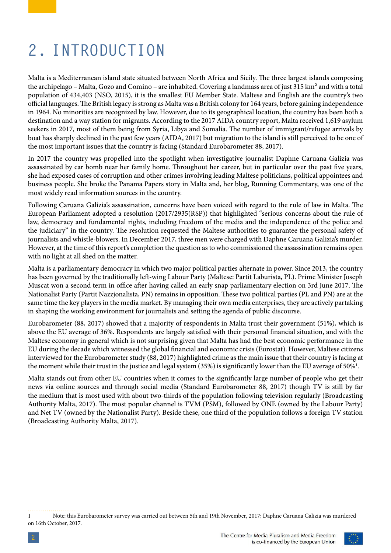## **2. INTRODUCTION**

Malta is a Mediterranean island state situated between North Africa and Sicily. The three largest islands composing the archipelago – Malta, Gozo and Comino – are inhabited. Covering a landmass area of just 315 km<sup>2</sup> and with a total population of 434,403 [\(NSO,](https://nso.gov.mt/en/nso/Selected_Indicators/Pages/Selected-Indicators.aspx) 2015), it is the smallest EU Member State. Maltese and English are the country's two official languages. The British legacy is strong as Malta was a British colony for 164 years, before gaining independence in 1964. No minorities are recognized by law. However, due to its geographical location, the country has been both a destination and a way station for migrants. According to the 2017 [AIDA country report,](http://www.asylumineurope.org/reports/country/malta) Malta received 1,619 asylum seekers in 2017, most of them being from Syria, Libya and Somalia. The number of immigrant/refugee arrivals by boat has sharply declined in the past few years (AIDA, 2017) but migration to the island is still perceived to be one of the most important issues that the country is facing (Standard Eurobarometer 88, 2017).

In 2017 the country was propelled into the spotlight when investigative journalist Daphne Caruana Galizia was assassinated by car bomb near her family home. Throughout her career, but in particular over the past five years, she had exposed cases of corruption and other crimes involving leading Maltese politicians, political appointees and business people. She broke the [Panama Papers](https://www.icij.org/investigations/panama-papers/) story in Malta and, her blog, Running Commentary, was one of the most widely read information sources in the country.

Following Caruana Galizia's assassination, concerns have been voiced with regard to the rule of law in Malta. The European Parliament adopted a resolution [\(2017/2935\(RSP\)\)](http://www.europarl.europa.eu/sides/getDoc.do?pubRef=-//EP//TEXT+TA+P8-TA-2017-0438+0+DOC+XML+V0//EN) that highlighted "serious concerns about the rule of law, democracy and fundamental rights, including freedom of the media and the independence of the police and the judiciary" in the country. The resolution requested the Maltese authorities to guarantee the personal safety of journalists and whistle-blowers. In December 2017, three men were charged with Daphne Caruana Galizia's murder. However, at the time of this report's completion the question as to who commissioned the assassination remains open with no light at all shed on the matter.

Malta is a parliamentary democracy in which two major political parties alternate in power. Since 2013, the country has been governed by the traditionally left-wing Labour Party (Maltese: Partit Laburista, PL). Prime Minister Joseph Muscat won a second term in office after having called an early snap parliamentary election on 3rd June 2017. The Nationalist Party (Partit Nazzjonalista, PN) remains in opposition. These two political parties (PL and PN) are at the same time the key players in the media market. By managing their own media enterprises, they are actively partaking in shaping the working environment for journalists and setting the agenda of public discourse.

[Eurobarometer](file:///C:\Users\inenadic\Downloads\eb88_nat_mt_mt (2).PDF) (88, 2017) showed that a majority of respondents in Malta trust their government (51%), which is above the EU average of 36%. Respondents are largely satisfied with their personal financial situation, and with the Maltese economy in general which is not surprising given that Malta has had the best economic performance in the EU during the decade which witnessed the global financial and economic crisis ([Eurostat\)](http://ec.europa.eu/eurostat/statistics-explained/index.php/File:Real_GDP_growth,_2006-2016_(%25_change_compared_with_the_previous_year;_%25_per_annum)_YB17.png). However, Maltese citizens interviewed for the Eurobarometer study (88, 2017) highlighted crime as the main issue that their country is facing at the moment while their trust in the justice and legal system (35%) is significantly lower than the EU average of 50%<sup>1</sup>.

Malta stands out from other EU countries when it comes to the significantly large number of people who get their news via online sources and through social media (Standard Eurobarometer 88, 2017) though TV is still by far the medium that is most used with about two-thirds of the population following television regularly (Broadcasting Authority Malta, 2017). The most popular channel is TVM (PSM), followed by ONE (owned by the Labour Party) and Net TV (owned by the Nationalist Party). Beside these, one third of the population follows a foreign TV station (Broadcasting Authority Malta, 2017).

#### 1 Note: this Eurobarometer survey was carried out between 5th and 19th November, 2017; Daphne Caruana Galizia was murdered on 16th October, 2017.

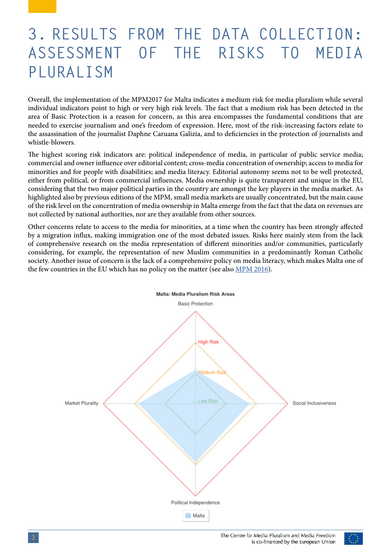## **3. RESULTS FROM THE DATA COLLECTION: ASSESSMENT OF THE RISKS TO MEDIA PLURALISM**

Overall, the implementation of the MPM2017 for Malta indicates a medium risk for media pluralism while several individual indicators point to high or very high risk levels. The fact that a medium risk has been detected in the area of Basic Protection is a reason for concern, as this area encompasses the fundamental conditions that are needed to exercise journalism and one's freedom of expression. Here, most of the risk-increasing factors relate to the assassination of the journalist Daphne Caruana Galizia, and to deficiencies in the protection of journalists and whistle-blowers.

The highest scoring risk indicators are: political independence of media, in particular of public service media; commercial and owner influence over editorial content; cross-media concentration of ownership; access to media for minorities and for people with disabilities; and media literacy. Editorial autonomy seems not to be well protected, either from political, or from commercial influences. Media ownership is quite transparent and unique in the EU, considering that the two major political parties in the country are amongst the key players in the media market. As highlighted also by previous editions of the MPM, small media markets are usually concentrated, but the main cause of the risk level on the concentration of media ownership in Malta emerge from the fact that the data on revenues are not collected by national authorities, nor are they available from other sources.

Other concerns relate to access to the media for minorities, at a time when the country has been strongly affected by a migration influx, making immigration one of the most debated issues. Risks here mainly stem from the lack of comprehensive research on the media representation of different minorities and/or communities, particularly considering, for example, the representation of new Muslim communities in a predominantly Roman Catholic society. Another issue of concern is the lack of a comprehensive policy on media literacy, which makes Malta one of the few countries in the EU which has no policy on the matter (see also [MPM 2016](http://cmpf.eui.eu/media-pluralism-monitor/mpm-2016-results/malta/)).



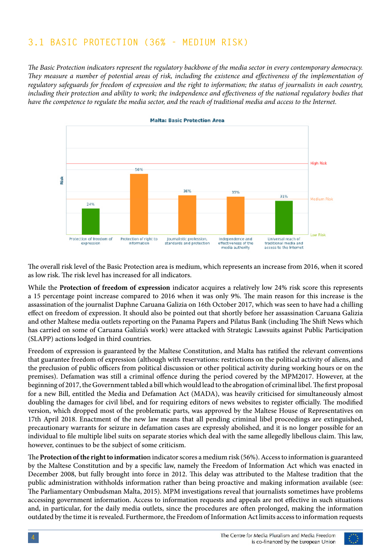### **3.1 BASIC PROTECTION (36% - MEDIUM RISK)**

*The Basic Protection indicators represent the regulatory backbone of the media sector in every contemporary democracy. They measure a number of potential areas of risk, including the existence and effectiveness of the implementation of regulatory safeguards for freedom of expression and the right to information; the status of journalists in each country,*  including their protection and ability to work; the independence and effectiveness of the national regulatory bodies that *have the competence to regulate the media sector, and the reach of traditional media and access to the Internet.*



The overall risk level of the Basic Protection area is medium, which represents an increase from 2016, when it scored as low risk. The risk level has increased for all indicators.

While the **Protection of freedom of expression** indicator acquires a relatively low 24% risk score this represents a 15 percentage point increase compared to 2016 when it was only 9%. The main reason for this increase is the assassination of the journalist Daphne Caruana Galizia on 16th October 2017, which was seen to have had a chilling effect on freedom of expression. It should also be pointed out that shortly before her assassination Caruana Galizia and other Maltese media outlets reporting on the Panama Papers and Pilatus Bank (including The Shift News which has carried on some of Caruana Galizia's work) were attacked with Strategic Lawsuits against Public Participation (SLAPP) actions lodged in third countries.

Freedom of expression is guaranteed by the Maltese Constitution, and Malta has ratified the relevant conventions that guarantee freedom of expression (although with reservations: restrictions on the political activity of aliens, and the preclusion of public officers from political discussion or other political activity during working hours or on the premises). Defamation was still a criminal offence during the period covered by the MPM2017. However, at the beginning of 2017, the Government tabled a bill which would lead to the abrogation of criminal libel. The first proposal for a new Bill, entitled the Media and Defamation Act (MADA), was heavily criticised for simultaneously almost doubling the damages for civil libel, and for requiring editors of news websites to register officially. The modified version, which dropped most of the problematic parts, was approved by the Maltese House of Representatives on 17th April 2018. Enactment of the [new law](https://parlament.mt/media/93813/act-xi-media-and-defamation-act.pdf) means that all pending criminal libel proceedings are extinguished, precautionary warrants for seizure in defamation cases are expressly abolished, and it is no longer possible for an individual to file multiple libel suits on separate stories which deal with the same allegedly libellous claim. This law, however, continues to be the subject of some criticism.

The **Protection of the right to informatio**n indicator scores a medium risk (56%). Access to information is guaranteed by the Maltese Constitution and by a specific law, namely the Freedom of Information Act which was enacted in December 2008, but fully brought into force in 2012. This delay was attributed to the Maltese tradition that the public administration withholds information rather than being proactive and making information available (see: [The Parliamentary Ombudsman Malta, 2015\)](https://www.ombudsman.org.mt/wp-content/uploads/2016/07/Ombudsman-AR-2015_LR.pdf). MPM investigations reveal that journalists sometimes have problems accessing government information. Access to information requests and appeals are not effective in such situations and, in particular, for the daily media outlets, since the procedures are often prolonged, making the information outdated by the time it is revealed. Furthermore, the Freedom of Information Act limits access to information requests

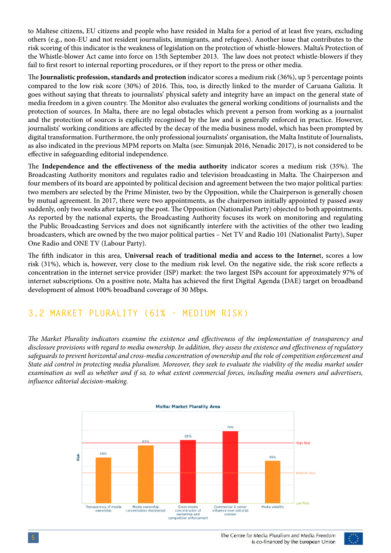to Maltese citizens, EU citizens and people who have resided in Malta for a period of at least five years, excluding others (e.g., non-EU and not resident journalists, immigrants, and refugees). Another issue that contributes to the risk scoring of this indicator is the weakness of legislation on the protection of whistle-blowers. Malta's Protection of the Whistle-blower Act came into force on 15th September 2013. The law does not protect whistle-blowers if they fail to first resort to internal reporting procedures, or if they report to the press or other media.

The **Journalistic profession, standards and protection** indicator scores a medium risk (36%), up 5 percentage points compared to the low risk score (30%) of 2016. This, too, is directly linked to the murder of Caruana Galizia. It goes without saying that threats to journalists' physical safety and integrity have an impact on the general state of media freedom in a given country. The Monitor also evaluates the general working conditions of journalists and the protection of sources. In Malta, there are no legal obstacles which prevent a person from working as a journalist and the protection of sources is explicitly recognised by the law and is generally enforced in practice. However, journalists' working conditions are affected by the decay of the media business model, which has been prompted by digital transformation. Furthermore, the only professional journalists' organisation, the Malta Institute of Journalists, as also indicated in the previous MPM reports on Malta (see: Simunjak 2016, Nenadic 2017), is not considered to be effective in safeguarding editorial independence.

The **Independence and the effectiveness of the media authority** indicator scores a medium risk (35%). The Broadcasting Authority monitors and regulates radio and television broadcasting in Malta. The Chairperson and four members of its board are appointed by political decision and agreement between the two major political parties: two members are selected by the Prime Minister, two by the Opposition, while the Chairperson is generally chosen by mutual agreement. In 2017, there were two appointments, as the chairperson initially appointed ty passed away suddenly, only two weeks after taking up the post. The Opposition (Nationalist Party) objected to both appointments. As reported by the national experts, the Broadcasting Authority focuses its work on monitoring and regulating the Public Broadcasting Services and does not significantly interfere with the activities of the other two leading broadcasters, which are owned by the two major political parties – Net TV and Radio 101 (Nationalist Party), Super One Radio and ONE TV (Labour Party).

The fifth indicator in this area, **Universal reach of traditional media and access to the Interne**t, scores a low risk (31%), which is, however, very close to the medium risk level. On the negative side, the risk score reflects a concentration in the internet service provider (ISP) market: the two largest ISPs account for approximately 97% of internet subscriptions. On a positive note, Malta has achieved the first Digital Agenda (DAE) target on broadband development of almost 100% broadband coverage of 30 Mbps.

#### **3.2 MARKET PLURALITY (61% - MEDIUM RISK)**

*The Market Plurality indicators examine the existence and effectiveness of the implementation of transparency and disclosure provisions with regard to media ownership. In addition, they assess the existence and effectiveness of regulatory safeguards to prevent horizontal and cross-media concentration of ownership and the role of competition enforcement and State aid control in protecting media pluralism. Moreover, they seek to evaluate the viability of the media market under examination as well as whether and if so, to what extent commercial forces, including media owners and advertisers, influence editorial decision-making.*

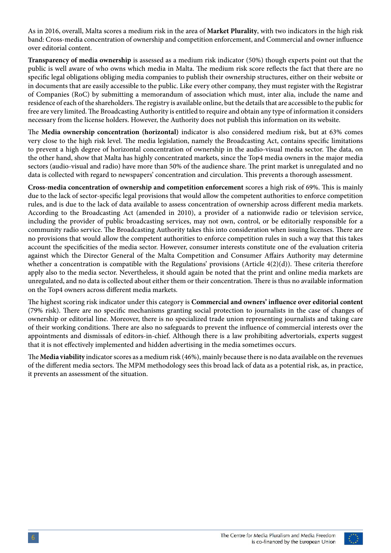As in 2016, overall, Malta scores a medium risk in the area of **Market Plurality**, with two indicators in the high risk band: Cross-media concentration of ownership and competition enforcement, and Commercial and owner influence over editorial content.

**Transparency of media ownership** is assessed as a medium risk indicator (50%) though experts point out that the public is well aware of who owns which media in Malta. The medium risk score reflects the fact that there are no specific legal obligations obliging media companies to publish their ownership structures, either on their website or in documents that are easily accessible to the public. Like every other company, they must register with the Registrar of Companies (RoC) by submitting a memorandum of association which must, inter alia, include the name and residence of each of the shareholders. The registry is available online, but the details that are accessible to the public for free are very limited. The Broadcasting Authority is entitled to require and obtain any type of information it considers necessary from the license holders. However, the Authority does not publish this information on its website.

The **Media ownership concentration (horizontal)** indicator is also considered medium risk, but at 63% comes very close to the high risk level. The media legislation, namely the Broadcasting Act, contains specific limitations to prevent a high degree of horizontal concentration of ownership in the audio-visual media sector. The data, on the other hand, show that Malta has highly concentrated markets, since the Top4 media owners in the major media sectors (audio-visual and radio) have more than 50% of the audience share. The print market is unregulated and no data is collected with regard to newspapers' concentration and circulation. This prevents a thorough assessment.

**Cross-media concentration of ownership and competition enforcement** scores a high risk of 69%. This is mainly due to the lack of sector-specific legal provisions that would allow the competent authorities to enforce competition rules, and is due to the lack of data available to assess concentration of ownership across different media markets. According to the Broadcasting Act (amended in 2010), a provider of a nationwide radio or television service, including the provider of public broadcasting services, may not own, control, or be editorially responsible for a community radio service. The Broadcasting Authority takes this into consideration when issuing licenses. There are no provisions that would allow the competent authorities to enforce competition rules in such a way that this takes account the specificities of the media sector. However, consumer interests constitute one of the evaluation criteria against which the Director General of the Malta Competition and Consumer Affairs Authority may determine whether a concentration is compatible with the Regulations' provisions (Article 4(2)(d)). These criteria therefore apply also to the media sector. Nevertheless, it should again be noted that the print and online media markets are unregulated, and no data is collected about either them or their concentration. There is thus no available information on the Top4 owners across different media markets.

The highest scoring risk indicator under this category is **Commercial and owners' influence over editorial content**  (79% risk). There are no specific mechanisms granting social protection to journalists in the case of changes of ownership or editorial line. Moreover, there is no specialized trade union representing journalists and taking care of their working conditions. There are also no safeguards to prevent the influence of commercial interests over the appointments and dismissals of editors-in-chief. Although there is a law prohibiting advertorials, experts suggest that it is not effectively implemented and hidden advertising in the media sometimes occurs.

The **Media viability** indicator scores as a medium risk (46%), mainly because there is no data available on the revenues of the different media sectors. The MPM methodology sees this broad lack of data as a potential risk, as, in practice, it prevents an assessment of the situation.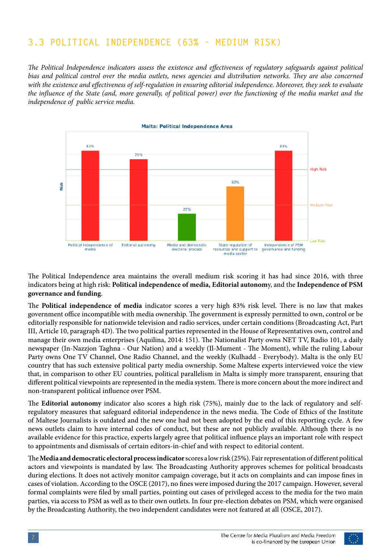### **3.3 POLITICAL INDEPENDENCE (63% - MEDIUM RISK)**

*The Political Independence indicators assess the existence and effectiveness of regulatory safeguards against political bias and political control over the media outlets, news agencies and distribution networks. They are also concerned with the existence and effectiveness of self-regulation in ensuring editorial independence. Moreover, they seek to evaluate the influence of the State (and, more generally, of political power) over the functioning of the media market and the independence of public service media.*



The Political Independence area maintains the overall medium risk scoring it has had since 2016, with three indicators being at high risk: **Political independence of media, Editorial autonom**y, and the **Independence of PSM governance and funding**.

The **Political independence of media** indicator scores a very high 83% risk level. There is no law that makes government office incompatible with media ownership. The government is expressly permitted to own, control or be editorially responsible for nationwide television and radio services, under certain conditions (Broadcasting Act, Part III, Article 10, paragraph 4D). The two political parties represented in the House of Representatives own, control and manage their own media enterprises (Aquilina, 2014: 151). The Nationalist Party owns NET TV, Radio 101, a daily newspaper (In-Nazzjon Taghna - Our Nation) and a weekly (Il-Mument - The Moment), while the ruling Labour Party owns One TV Channel, One Radio Channel, and the weekly (Kulhadd - Everybody). Malta is the only EU country that has such extensive political party media ownership. Some Maltese experts interviewed voice the view that, in comparison to other EU countries, political parallelism in Malta is simply more transparent, ensuring that different political viewpoints are represented in the media system. There is more concern about the more indirect and non-transparent political influence over PSM.

The **Editorial autonomy** indicator also scores a high risk (75%), mainly due to the lack of regulatory and selfregulatory measures that safeguard editorial independence in the news media. The Code of Ethics of the Institute of Maltese Journalists is outdated and the new one had not been adopted by the end of this reporting cycle. A few news outlets claim to have internal codes of conduct, but these are not publicly available. Although there is no available evidence for this practice, experts largely agree that political influence plays an important role with respect to appointments and dismissals of certain editors-in-chief and with respect to editorial content.

The **Media and democratic electoral process indicator** scores a low risk (25%). Fair representation of different political actors and viewpoints is mandated by law. The Broadcasting Authority approves schemes for political broadcasts during elections. It does not actively monitor campaign coverage, but it acts on complaints and can impose fines in cases of violation. According to the [OSCE \(2017\)](https://www.osce.org/odihr/elections/malta/348671?download=true), no fines were imposed during the 2017 campaign. However, several formal complaints were filed by small parties, pointing out cases of privileged access to the media for the two main parties, via access to PSM as well as to their own outlets. In four pre-election debates on PSM, which were organised by the Broadcasting Authority, the two independent candidates were not featured at all (OSCE, 2017).

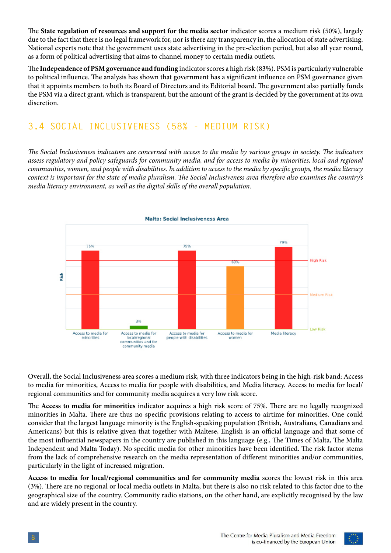The **State regulation of resources and support for the media secto**r indicator scores a medium risk (50%), largely due to the fact that there is no legal framework for, nor is there any transparency in, the allocation of state advertising. National experts note that the government uses state advertising in the pre-election period, but also all year round, as a form of political advertising that aims to channel money to certain media outlets.

The **Independence of PSM governance and funding** indicator scores a high risk (83%). PSM is particularly vulnerable to political influence. The analysis has shown that government has a significant influence on PSM governance given that it appoints members to both its Board of Directors and its Editorial board. The government also partially funds the PSM via a direct grant, which is transparent, but the amount of the grant is decided by the government at its own discretion.

### **3.4 SOCIAL INCLUSIVENESS (58% - MEDIUM RISK)**

*The Social Inclusiveness indicators are concerned with access to the media by various groups in society. The indicators assess regulatory and policy safeguards for community media, and for access to media by minorities, local and regional communities, women, and people with disabilities. In addition to access to the media by specific groups, the media literacy context is important for the state of media pluralism. The Social Inclusiveness area therefore also examines the country's media literacy environment, as well as the digital skills of the overall population.* 



Overall, the Social Inclusiveness area scores a medium risk, with three indicators being in the high-risk band: Access to media for minorities, Access to media for people with disabilities, and Media literacy. Access to media for local/ regional communities and for community media acquires a very low risk score.

The **Access to media for minorities** indicator acquires a high risk score of 75%. There are no legally recognized minorities in Malta. There are thus no specific provisions relating to access to airtime for minorities. One could consider that the largest language minority is the English-speaking population (British, Australians, Canadians and Americans) but this is relative given that together with Maltese, English is an official language and that some of the most influential newspapers in the country are published in this language (e.g., The Times of Malta, The Malta Independent and Malta Today). No specific media for other minorities have been identified. The risk factor stems from the lack of comprehensive research on the media representation of different minorities and/or communities, particularly in the light of increased migration.

**Access to media for local/regional communities and for community media** scores the lowest risk in this area (3%). There are no regional or local media outlets in Malta, but there is also no risk related to this factor due to the geographical size of the country. Community radio stations, on the other hand, are explicitly recognised by the law and are widely present in the country.

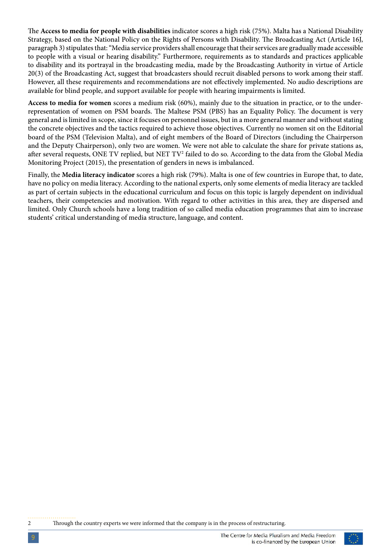The **Access to media for people with disabilities** indicator scores a high risk (75%). Malta has a National Disability Strategy, based on the National Policy on the Rights of Persons with Disability. The Broadcasting Act (Article 16J, paragraph 3) stipulates that: "Media service providers shall encourage that their services are gradually made accessible to people with a visual or hearing disability." Furthermore, requirements as to standards and practices applicable to disability and its portrayal in the broadcasting media, made by the Broadcasting Authority in virtue of Article 20(3) of the Broadcasting Act, suggest that broadcasters should recruit disabled persons to work among their staff. However, all these requirements and recommendations are not effectively implemented. No audio descriptions are available for blind people, and support available for people with hearing impairments is limited.

**Access to media for women** scores a medium risk (60%), mainly due to the situation in practice, or to the underrepresentation of women on PSM boards. The Maltese PSM (PBS) has an Equality Policy. The document is very general and is limited in scope, since it focuses on personnel issues, but in a more general manner and without stating the concrete objectives and the tactics required to achieve those objectives. Currently no women sit on the Editorial board of the PSM (Television Malta), and of eight members of the Board of Directors (including the Chairperson and the Deputy Chairperson), only two are women. We were not able to calculate the share for private stations as, after several requests, ONE TV replied, but NET TV $^2$  failed to do so. According to the data from the Global Media Monitoring Project (2015), the presentation of genders in news is imbalanced.

Finally, the **Media literacy indicator** scores a high risk (79%). Malta is one of few countries in Europe that, to date, have no policy on media literacy. According to the national experts, only some elements of media literacy are tackled as part of certain subjects in the educational curriculum and focus on this topic is largely dependent on individual teachers, their competencies and motivation. With regard to other activities in this area, they are dispersed and limited. Only Church schools have a long tradition of so called media education programmes that aim to increase students' critical understanding of media structure, language, and content.

2 Through the country experts we were informed that the company is in the process of restructuring.

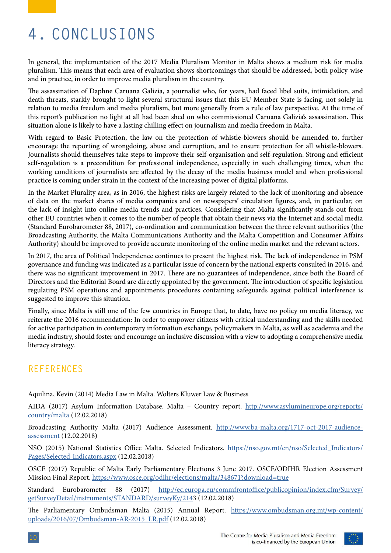# **4. CONCLUSIONS**

In general, the implementation of the 2017 Media Pluralism Monitor in Malta shows a medium risk for media pluralism. This means that each area of evaluation shows shortcomings that should be addressed, both policy-wise and in practice, in order to improve media pluralism in the country.

The assassination of Daphne Caruana Galizia, a journalist who, for years, had faced libel suits, intimidation, and death threats, starkly brought to light several structural issues that this EU Member State is facing, not solely in relation to media freedom and media pluralism, but more generally from a rule of law perspective. At the time of this report's publication no light at all had been shed on who commissioned Caruana Galizia's assassination. This situation alone is likely to have a lasting chilling effect on journalism and media freedom in Malta.

With regard to Basic Protection, the law on the protection of whistle-blowers should be amended to, further encourage the reporting of wrongdoing, abuse and corruption, and to ensure protection for all whistle-blowers. Journalists should themselves take steps to improve their self-organisation and self-regulation. Strong and efficient self-regulation is a precondition for professional independence, especially in such challenging times, when the working conditions of journalists are affected by the decay of the media business model and when professional practice is coming under strain in the context of the increasing power of digital platforms.

In the Market Plurality area, as in 2016, the highest risks are largely related to the lack of monitoring and absence of data on the market shares of media companies and on newspapers' circulation figures, and, in particular, on the lack of insight into online media trends and practices. Considering that Malta significantly stands out from other EU countries when it comes to the number of people that obtain their news via the Internet and social media (Standard Eurobarometer 88, 2017), co-ordination and communication between the three relevant authorities (the Broadcasting Authority, the Malta Communications Authority and the Malta Competition and Consumer Affairs Authority) should be improved to provide accurate monitoring of the online media market and the relevant actors.

In 2017, the area of Political Independence continues to present the highest risk. The lack of independence in PSM governance and funding was indicated as a particular issue of concern by the national experts consulted in 2016, and there was no significant improvement in 2017. There are no guarantees of independence, since both the Board of Directors and the Editorial Board are directly appointed by the government. The introduction of specific legislation regulating PSM operations and appointments procedures containing safeguards against political interference is suggested to improve this situation.

Finally, since Malta is still one of the few countries in Europe that, to date, have no policy on media literacy, we reiterate the 2016 recommendation: In order to empower citizens with critical understanding and the skills needed for active participation in contemporary information exchange, policymakers in Malta, as well as academia and the media industry, should foster and encourage an inclusive discussion with a view to adopting a comprehensive media literacy strategy.

#### **REFERENCES**

Aquilina, Kevin (2014) Media Law in Malta. Wolters Kluwer Law & Business

AIDA (2017) Asylum Information Database. Malta – Country report. [http://www.asylumineurope.org/reports/](http://www.asylumineurope.org/reports/country/malta) [country/malta](http://www.asylumineurope.org/reports/country/malta) (12.02.2018)

Broadcasting Authority Malta (2017) Audience Assessment. [http://www.ba-malta.org/1717-oct-2017-audience](http://www.ba-malta.org/1717-oct-2017-audience-assessment)[assessment](http://www.ba-malta.org/1717-oct-2017-audience-assessment) (12.02.2018)

NSO (2015) National Statistics Office Malta. Selected Indicators. https://nso.gov.mt/en/nso/Selected Indicators/ [Pages/Selected-Indicators.aspx](https://nso.gov.mt/en/nso/Selected_Indicators/Pages/Selected-Indicators.aspx) (12.02.2018)

OSCE (2017) Republic of Malta Early Parliamentary Elections 3 June 2017. OSCE/ODIHR Election Assessment Mission Final Report.<https://www.osce.org/odihr/elections/malta/348671?download=true>

Standard Eurobarometer 88 (2017) [http://ec.europa.eu/commfrontoffice/publicopinion/index.cfm/Survey/](http://ec.europa.eu/commfrontoffice/publicopinion/index.cfm/Survey/getSurveyDetail/instruments/STAND) [getSurveyDetail/instruments/STANDARD/surveyKy/2143](http://ec.europa.eu/commfrontoffice/publicopinion/index.cfm/Survey/getSurveyDetail/instruments/STAND) (12.02.2018)

The Parliamentary Ombudsman Malta (2015) Annual Report. [https://www.ombudsman.org.mt/wp-content/](https://www.ombudsman.org.mt/wp-content/uploads/2016/07/Ombudsman-AR-2015_LR.pdf) [uploads/2016/07/Ombudsman-AR-2015\\_LR.pdf](https://www.ombudsman.org.mt/wp-content/uploads/2016/07/Ombudsman-AR-2015_LR.pdf) (12.02.2018)

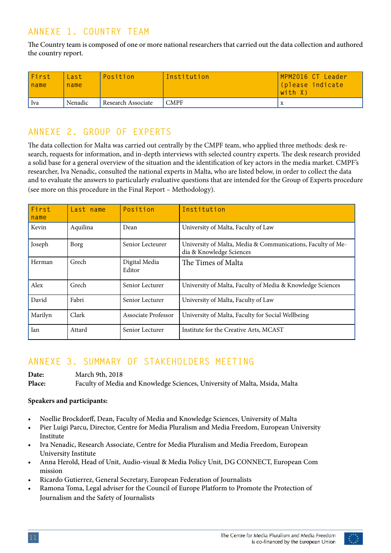### **ANNEXE 1. COUNTRY TEAM**

The Country team is composed of one or more national researchers that carried out the data collection and authored the country report.

| First<br>name | Last<br>name | Position           | Institution | MPM2016 CT Leader<br>(please indicate<br>with X) |
|---------------|--------------|--------------------|-------------|--------------------------------------------------|
| Iva           | Nenadic      | Research Associate | <b>CMPF</b> | $\Lambda$                                        |

#### **ANNEXE 2. GROUP OF EXPERTS**

The data collection for Malta was carried out centrally by the CMPF team, who applied three methods: desk research, requests for information, and in-depth interviews with selected country experts. The desk research provided a solid base for a general overview of the situation and the identification of key actors in the media market. CMPF's researcher, Iva Nenadic, consulted the national experts in Malta, who are listed below, in order to collect the data and to evaluate the answers to particularly evaluative questions that are intended for the Group of Experts procedure (see more on this procedure in the Final Report – Methodology).

| First<br>name | Last name | Position                | Institution                                                                             |
|---------------|-----------|-------------------------|-----------------------------------------------------------------------------------------|
| Kevin         | Aquilina  | Dean                    | University of Malta, Faculty of Law                                                     |
| Joseph        | Borg      | Senior Lecteurer        | University of Malta, Media & Communications, Faculty of Me-<br>dia & Knowledge Sciences |
| Herman        | Grech     | Digital Media<br>Editor | The Times of Malta                                                                      |
| Alex          | Grech     | Senior Lecturer         | University of Malta, Faculty of Media & Knowledge Sciences                              |
| David         | Fabri     | Senior Lecturer         | University of Malta, Faculty of Law                                                     |
| Marilyn       | Clark     | Associate Professor     | University of Malta, Faculty for Social Wellbeing                                       |
| Ian           | Attard    | Senior Lecturer         | Institute for the Creative Arts, MCAST                                                  |

#### **ANNEXE 3. SUMMARY OF STAKEHOLDERS MEETING**

**Date:** March 9th, 2018 **Place:** Faculty of Media and Knowledge Sciences, University of Malta, Msida, Malta

#### **Speakers and participants:**

- Noellie Brockdorff, Dean, Faculty of Media and Knowledge Sciences, University of Malta
- Pier Luigi Parcu, Director, Centre for Media Pluralism and Media Freedom, European University Institute
- Iva Nenadic, Research Associate, Centre for Media Pluralism and Media Freedom, European University Institute
- Anna Herold, Head of Unit, Audio-visual & Media Policy Unit, DG CONNECT, European Com mission
- Ricardo Gutierrez, General Secretary, European Federation of Journalists
- Ramona Toma, Legal adviser for the Council of Europe Platform to Promote the Protection of Journalism and the Safety of Journalists

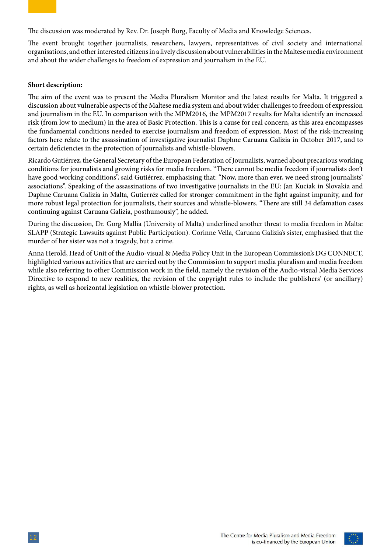The discussion was moderated by Rev. Dr. Joseph Borg, Faculty of Media and Knowledge Sciences.

The event brought together journalists, researchers, lawyers, representatives of civil society and international organisations, and other interested citizens in a lively discussion about vulnerabilities in the Maltese media environment and about the wider challenges to freedom of expression and journalism in the EU.

#### **Short description:**

The aim of the event was to present the Media Pluralism Monitor and the latest results for Malta. It triggered a discussion about vulnerable aspects of the Maltese media system and about wider challenges to freedom of expression and journalism in the EU. In comparison with the MPM2016, the MPM2017 results for Malta identify an increased risk (from low to medium) in the area of Basic Protection. This is a cause for real concern, as this area encompasses the fundamental conditions needed to exercise journalism and freedom of expression. Most of the risk-increasing factors here relate to the assassination of investigative journalist Daphne Caruana Galizia in October 2017, and to certain deficiencies in the protection of journalists and whistle-blowers.

Ricardo Gutiérrez, the General Secretary of the European Federation of Journalists, warned about precarious working conditions for journalists and growing risks for media freedom. "There cannot be media freedom if journalists don't have good working conditions", said Gutiérrez, emphasising that: "Now, more than ever, we need strong journalists' associations". Speaking of the assassinations of two investigative journalists in the EU: Jan Kuciak in Slovakia and Daphne Caruana Galizia in Malta, Gutierréz called for stronger commitment in the fight against impunity, and for more robust legal protection for journalists, their sources and whistle-blowers. "There are still 34 defamation cases continuing against Caruana Galizia, posthumously", he added.

During the discussion, Dr. Gorg Mallia (University of Malta) underlined another threat to media freedom in Malta: SLAPP (Strategic Lawsuits against Public Participation). Corinne Vella, Caruana Galizia's sister, emphasised that the murder of her sister was not a tragedy, but a crime.

Anna Herold, Head of Unit of the Audio-visual & Media Policy Unit in the European Commission's DG CONNECT, highlighted various activities that are carried out by the Commission to support media pluralism and media freedom while also referring to other Commission work in the field, namely the revision of the Audio-visual Media Services Directive to respond to new realities, the revision of the copyright rules to include the publishers' (or ancillary) rights, as well as horizontal legislation on whistle-blower protection.